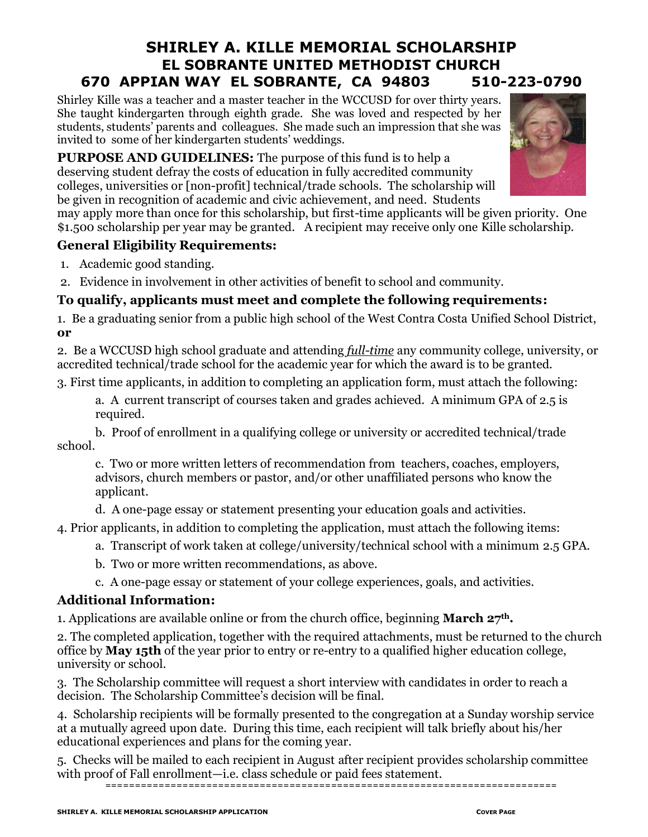# **SHIRLEY A. KILLE MEMORIAL SCHOLARSHIP EL SOBRANTE UNITED METHODIST CHURCH 670 APPIAN WAY EL SOBRANTE, CA 94803 510-223-0790**

Shirley Kille was a teacher and a master teacher in the WCCUSD for over thirty years. She taught kindergarten through eighth grade. She was loved and respected by her students, students' parents and colleagues. She made such an impression that she was invited to some of her kindergarten students' weddings.

**PURPOSE AND GUIDELINES:** The purpose of this fund is to help a deserving student defray the costs of education in fully accredited community colleges, universities or [non-profit] technical/trade schools. The scholarship will be given in recognition of academic and civic achievement, and need. Students

may apply more than once for this scholarship, but first-time applicants will be given priority. One \$1.500 scholarship per year may be granted. A recipient may receive only one Kille scholarship.

# **General Eligibility Requirements:**

- 1. Academic good standing.
- 2. Evidence in involvement in other activities of benefit to school and community.

# **To qualify, applicants must meet and complete the following requirements:**

1. Be a graduating senior from a public high school of the West Contra Costa Unified School District, **or**

2. Be a WCCUSD high school graduate and attending *full-time* any community college, university, or accredited technical/trade school for the academic year for which the award is to be granted.

3. First time applicants, in addition to completing an application form, must attach the following:

a. A current transcript of courses taken and grades achieved. A minimum GPA of 2.5 is required.

b. Proof of enrollment in a qualifying college or university or accredited technical/trade school.

c. Two or more written letters of recommendation from teachers, coaches, employers, advisors, church members or pastor, and/or other unaffiliated persons who know the applicant.

d. A one-page essay or statement presenting your education goals and activities.

4. Prior applicants, in addition to completing the application, must attach the following items:

- a. Transcript of work taken at college/university/technical school with a minimum 2.5 GPA.
- b. Two or more written recommendations, as above.

c. A one-page essay or statement of your college experiences, goals, and activities.

## **Additional Information:**

1. Applications are available online or from the church office, beginning **March 27th.**

2. The completed application, together with the required attachments, must be returned to the church office by **May 15th** of the year prior to entry or re-entry to a qualified higher education college, university or school.

3. The Scholarship committee will request a short interview with candidates in order to reach a decision. The Scholarship Committee's decision will be final.

4. Scholarship recipients will be formally presented to the congregation at a Sunday worship service at a mutually agreed upon date. During this time, each recipient will talk briefly about his/her educational experiences and plans for the coming year.

5. Checks will be mailed to each recipient in August after recipient provides scholarship committee with proof of Fall enrollment—i.e. class schedule or paid fees statement.

```
============================================================================
```


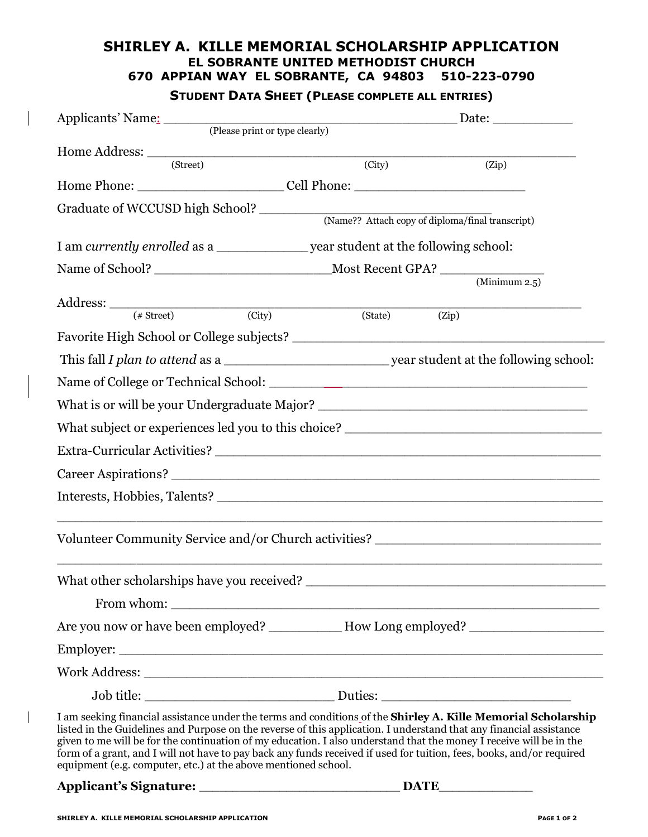#### **SHIRLEY A. KILLE MEMORIAL SCHOLARSHIP APPLICATION EL SOBRANTE UNITED METHODIST CHURCH 670 APPIAN WAY EL SOBRANTE, CA 94803 510-223-0790**

### **STUDENT DATA SHEET (PLEASE COMPLETE ALL ENTRIES)**

|                                                                                                                                                                                                                                                                                                                                                                                                                                                                                                                                                                                 |                     | $\Box$ Date: $\Box$ Date: $\Box$                 |  |  |  |
|---------------------------------------------------------------------------------------------------------------------------------------------------------------------------------------------------------------------------------------------------------------------------------------------------------------------------------------------------------------------------------------------------------------------------------------------------------------------------------------------------------------------------------------------------------------------------------|---------------------|--------------------------------------------------|--|--|--|
| Applicants' Name: (Please print or type clearly)                                                                                                                                                                                                                                                                                                                                                                                                                                                                                                                                |                     |                                                  |  |  |  |
| $\begin{minipage}{.4\linewidth} \textbf{Home Address:}\quad \quad \textbf{(Street)} \quad \quad \textbf{(1)} \quad \quad \textbf{(2)} \quad \quad \textbf{(3)} \quad \quad \textbf{(4)} \quad \quad \textbf{(5)} \quad \quad \textbf{(5)} \quad \quad \textbf{(6)} \quad \quad \textbf{(6)} \quad \quad \textbf{(7)} \quad \quad \textbf{(8)} \quad \quad \textbf{(8)} \quad \quad \textbf{(9)} \quad \quad \textbf{(1)} \quad \quad \textbf{(1)} \quad \quad \textbf{(1)} \quad \quad \textbf{(2)} \quad \quad \textbf{(3)} \quad \quad \textbf{(4)} \quad \quad \textbf{(5)}$ | $\overline{(City)}$ | (Zip)                                            |  |  |  |
| Home Phone: ___________________________Cell Phone: ______________________________                                                                                                                                                                                                                                                                                                                                                                                                                                                                                               |                     |                                                  |  |  |  |
|                                                                                                                                                                                                                                                                                                                                                                                                                                                                                                                                                                                 |                     |                                                  |  |  |  |
|                                                                                                                                                                                                                                                                                                                                                                                                                                                                                                                                                                                 |                     | (Name?? Attach copy of diploma/final transcript) |  |  |  |
|                                                                                                                                                                                                                                                                                                                                                                                                                                                                                                                                                                                 |                     |                                                  |  |  |  |
|                                                                                                                                                                                                                                                                                                                                                                                                                                                                                                                                                                                 |                     |                                                  |  |  |  |
|                                                                                                                                                                                                                                                                                                                                                                                                                                                                                                                                                                                 |                     | $\overline{\text{(Minimum 2.5)}}$                |  |  |  |
| Address: $($ $# Street)$ (City)                                                                                                                                                                                                                                                                                                                                                                                                                                                                                                                                                 | (State)             | (Zip)                                            |  |  |  |
|                                                                                                                                                                                                                                                                                                                                                                                                                                                                                                                                                                                 |                     |                                                  |  |  |  |
|                                                                                                                                                                                                                                                                                                                                                                                                                                                                                                                                                                                 |                     |                                                  |  |  |  |
|                                                                                                                                                                                                                                                                                                                                                                                                                                                                                                                                                                                 |                     |                                                  |  |  |  |
|                                                                                                                                                                                                                                                                                                                                                                                                                                                                                                                                                                                 |                     |                                                  |  |  |  |
| What is or will be your Undergraduate Major? ___________________________________                                                                                                                                                                                                                                                                                                                                                                                                                                                                                                |                     |                                                  |  |  |  |
|                                                                                                                                                                                                                                                                                                                                                                                                                                                                                                                                                                                 |                     |                                                  |  |  |  |
|                                                                                                                                                                                                                                                                                                                                                                                                                                                                                                                                                                                 |                     |                                                  |  |  |  |
|                                                                                                                                                                                                                                                                                                                                                                                                                                                                                                                                                                                 |                     |                                                  |  |  |  |
|                                                                                                                                                                                                                                                                                                                                                                                                                                                                                                                                                                                 |                     |                                                  |  |  |  |
|                                                                                                                                                                                                                                                                                                                                                                                                                                                                                                                                                                                 |                     |                                                  |  |  |  |
| Volunteer Community Service and/or Church activities? __________________________                                                                                                                                                                                                                                                                                                                                                                                                                                                                                                |                     |                                                  |  |  |  |
|                                                                                                                                                                                                                                                                                                                                                                                                                                                                                                                                                                                 |                     |                                                  |  |  |  |
| What other scholarships have you received? ______________                                                                                                                                                                                                                                                                                                                                                                                                                                                                                                                       |                     |                                                  |  |  |  |
|                                                                                                                                                                                                                                                                                                                                                                                                                                                                                                                                                                                 |                     |                                                  |  |  |  |
| Are you now or have been employed? ___________ How Long employed? ______________                                                                                                                                                                                                                                                                                                                                                                                                                                                                                                |                     |                                                  |  |  |  |
|                                                                                                                                                                                                                                                                                                                                                                                                                                                                                                                                                                                 |                     |                                                  |  |  |  |
| Work Address: North Address: North Address: North Address: North Address: North Address: North Address: North Address: North Address: North Address: North Address: North Address: North Address: North Address: North Address                                                                                                                                                                                                                                                                                                                                                  |                     |                                                  |  |  |  |
|                                                                                                                                                                                                                                                                                                                                                                                                                                                                                                                                                                                 |                     |                                                  |  |  |  |
| I am seeking financial assistance under the terms and conditions of the Shirley A. Kille Memorial Scholarship<br>listed in the Guidelines and Purpose on the reverse of this application. I understand that any financial assistance<br>given to me will be for the continuation of my education. I also understand that the money I receive will be in the<br>form of a grant, and I will not have to pay back any funds received if used for tuition, fees, books, and/or required<br>equipment (e.g. computer, etc.) at the above mentioned school.                          |                     |                                                  |  |  |  |
|                                                                                                                                                                                                                                                                                                                                                                                                                                                                                                                                                                                 |                     |                                                  |  |  |  |
|                                                                                                                                                                                                                                                                                                                                                                                                                                                                                                                                                                                 |                     |                                                  |  |  |  |